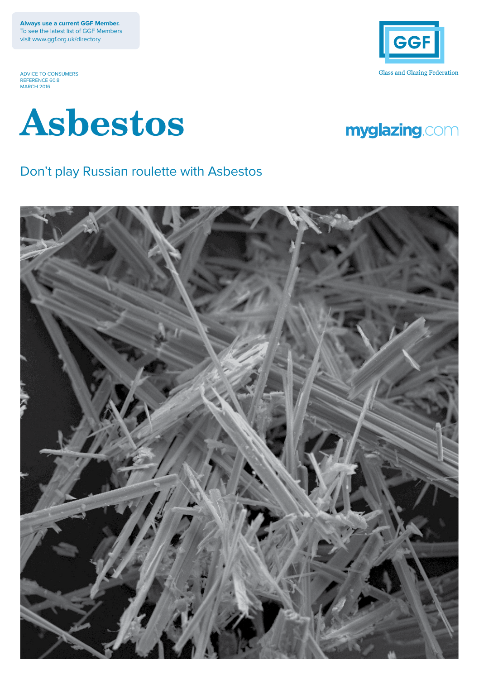**Always use a current GGF Member.** To see the latest list of GGF Members visit www.ggf.org.uk/directory

ADVICE TO CONSUMERS REFERENCE 60.8 MARCH 2016





# myglazing.com

### Don't play Russian roulette with Asbestos

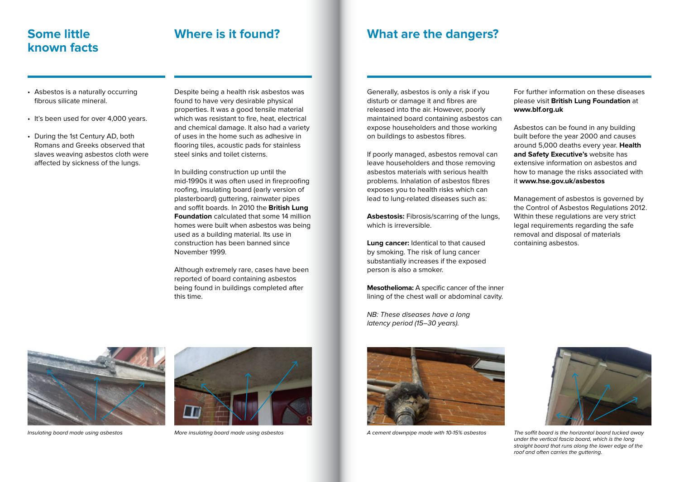# **known facts**

# **Some little Where is it found?**

## **What are the dangers?**

- Asbestos is a naturally occurring fibrous silicate mineral.
- It's been used for over 4,000 years.
- During the 1st Century AD, both Romans and Greeks observed that slaves weaving asbestos cloth were affected by sickness of the lungs.

Despite being a health risk asbestos was found to have very desirable physical properties. It was a good tensile material which was resistant to fire, heat, electrical and chemical damage. It also had a variety of uses in the home such as adhesive in flooring tiles, acoustic pads for stainless steel sinks and toilet cisterns.

In building construction up until the mid-1990s it was often used in fireproofing roofing, insulating board (early version of plasterboard) guttering, rainwater pipes and soffit boards. In 2010 the **British Lung Foundation** calculated that some 14 million homes were built when asbestos was being used as a building material. Its use in construction has been banned since November 1999.

Although extremely rare, cases have been reported of board containing asbestos being found in buildings completed after this time.

Generally, asbestos is only a risk if you disturb or damage it and fibres are released into the air. However, poorly maintained board containing asbestos can expose householders and those working on buildings to asbestos fibres.

If poorly managed, asbestos removal can leave householders and those removing asbestos materials with serious health problems. Inhalation of asbestos fibres exposes you to health risks which can lead to lung-related diseases such as:

**Asbestosis:** Fibrosis/scarring of the lungs, which is irreversible.

**Lung cancer:** Identical to that caused by smoking. The risk of lung cancer substantially increases if the exposed person is also a smoker.

**Mesothelioma:** A specific cancer of the inner lining of the chest wall or abdominal cavity.

NB: These diseases have a long latency period (15–30 years).



For further information on these diseases please visit **British Lung Foundation** at **www.blf.org.uk**

Asbestos can be found in any building built before the year 2000 and causes around 5,000 deaths every year. **Health and Safety Executive's** website has extensive information on asbestos and how to manage the risks associated with it **www.hse.gov.uk/asbestos**

Management of asbestos is governed by the Control of Asbestos Regulations 2012. Within these regulations are very strict legal requirements regarding the safe removal and disposal of materials containing asbestos.



Insulating board made using asbestos More insulating board made using asbestos A cement downpipe made with 10-15% asbestos The soffit board is the horizontal board tucked away under the vertical fascia board, which is the long straight board that runs along the lower edge of the roof and often carries the guttering.